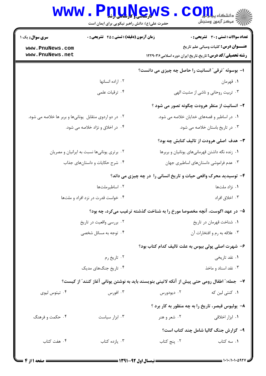| www.PnuNews.<br>حضرت علی(ع): دانش راهبر نیکویی برای ایمان است        | الا دانشکاه پیابانی<br>از سرکز آزمون وسنجش                                                              |
|----------------------------------------------------------------------|---------------------------------------------------------------------------------------------------------|
| زمان آزمون (دقیقه) : تستی : 45 آتشریحی : 0<br><b>سری سوال :</b> یک ۱ | <b>تعداد سوالات : تستی : 30 ٪ تشریحی : 0</b>                                                            |
| www.PnuNews.com<br>www.PnuNews.net                                   | عنـــوان درس: کلیات ومبانی علم تاریخ<br><b>رشته تحصیلی/کد درس:</b> تاریخ،تاریخ ایران دوره اسلامی۱۲۲۹۰۳۶ |
|                                                                      | ا- بوسوئه "ترقی" انسانیت را حاصل چه چیزی می دانست؟                                                      |
| ٠٢ اراده انسانها                                                     | ۰۱ قهرمان                                                                                               |
| ۰۴ ترقیات علمی                                                       | ۰۳ تربیت روحانی و ناشی از مشیت الهی                                                                     |
|                                                                      | ۲- انسانیت از منظر هرودت چگونه تصور می شود ؟                                                            |
| ۰۲ در دو اردوی متقابل یونانیها و بربر ها خلاصه می شود.               | ٠١ در اساطير و قصههاى خدايان خلاصه مى شود.                                                              |
| ۰۴ در اخلاق و نژاد خلاصه می شود.                                     | ۰۳ در تاریخ باستان خلاصه می شود.                                                                        |
|                                                                      | ۳- هدف اصلی هرودت از تالیف کتابش چه بود؟                                                                |
| ۰۲ برتری یونانیها نسبت به ایرانیان و مصریان                          | ٠١ زنده نگه داشتن قهرمانیهای یونانیان و بربرها                                                          |
| ۰۴ شرح حکایات و داستانهای جذاب                                       | ۰۳ عدم فراموشی داستانهای اساطیری جهان                                                                   |
|                                                                      | ۴- توسیدید محرک واقعی حیات و تاریخ انسانی را در چه چیزی می داند؟                                        |
| ۰۲ اساطیرملتها                                                       | ۰۱ نژاد ملتها                                                                                           |

| ۰۴ خواست قدرت در نزد افراد و ملتها | ۰۳ اخلاق افراد |
|------------------------------------|----------------|
|                                    |                |

۵− در عهد اگوست، آنچه مخصوصا مورخ را به شناخت گذشته ترغیب میکرد، چه بود؟

| ۰۲ بررسی واقعیت در تاریخ | ۰۱ شناخت قهرمان در تاریخ     |
|--------------------------|------------------------------|
| ۰۴ توجه به مسائل شخصی    | ۰۳ علاقه به رم و افتخارات آن |

## ۶– شهرت اصلی پولی بیوس به علت تالیف کدام کتاب بود؟

| ۰۲ تاریخ رم          | ۰۱ نقد تاریخی       |
|----------------------|---------------------|
| ۰۴ تاریخ جنگهای مدیک | ۰۳ نقد اسناد و ماخذ |

## ٧-- جمله:" اطفال رومي حتى پيش از آنكه لاتيني بنويسند بايد به نوشتن يوناني آغاز كنند" از كيست؟ ۰۴ تیتوس لیوی ۰۳ افورس

## ۸- پولیوس قیصر، تاریخ را به چه منظور به کار برد ؟

۰۴ حکمت و فرهنگ ۰۳ ابزار سیاست ۰۲ شعر و هنر ۰۱ ابزار اخلاقی

۹- گزارش جنگ گالیا شامل چند کتاب است؟

۰۴ هفت کتاب ۰۳ یازده کتاب ۰۲ پنج کتاب ۰۱ سه کتاب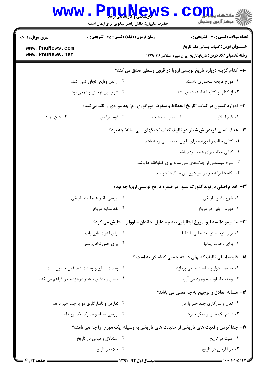|                                    | www.PnuNews<br>حضرت علی(ع): دانش راهبر نیکویی برای ایمان است                        |                                                        | ز دانشکاه پی <mark>ا بار</mark> (<br>رآ مرڪز آزمون وسنڊش                                                |
|------------------------------------|-------------------------------------------------------------------------------------|--------------------------------------------------------|---------------------------------------------------------------------------------------------------------|
| <b>سری سوال : ۱ یک</b>             | زمان آزمون (دقیقه) : تستی : 45 آتشریحی : 0                                          |                                                        | <b>تعداد سوالات : تستي : 30 ٪ تشريحي : 0</b>                                                            |
| www.PnuNews.com<br>www.PnuNews.net |                                                                                     |                                                        | عنـــوان درس: کلیات ومبانی علم تاریخ<br><b>رشته تحصیلی/کد درس:</b> تاریخ،تاریخ ایران دوره اسلامی۱۲۲۹۰۳۶ |
|                                    |                                                                                     |                                                        | ∙ا− کدام گزینه درباره تاریخ نویسی اروپا در قرون وسطی صدق می کند؟                                        |
|                                    | ۰۲ از نقل وقایع تجاوز نمی کند.<br>۰۱ مورخ قریحه سخنوری داشت.                        |                                                        |                                                                                                         |
|                                    | ۰۴ شرح بین توحش و تمدن بود.                                                         |                                                        | ۰۳ از کتاب و کتابخانه استفاده می شد.                                                                    |
|                                    |                                                                                     |                                                        | 1۱– ادوارد گیبون در کتاب "تاریخ انحطاط و سقوط امپراتوری رم" چه موردی را نقد میکند؟                      |
| ۰۴ دین یهود                        | ۰۳ قوم بیزانس                                                                       | ۰۲ دین مسیحیت                                          | ٠١. قوم اسلاو                                                                                           |
|                                    |                                                                                     |                                                        | ۱۲- هدف اصلی فریدریش شیلر در تالیف کتاب "جنگهای سی ساله" چه بود؟                                        |
|                                    |                                                                                     |                                                        | ٠١ كتابي جالب و آموزنده براي بانوان طبقه عالي رتبه باشد.                                                |
|                                    |                                                                                     |                                                        | ٢. كتابي جذاب براي عامه مردم باشد.                                                                      |
|                                    |                                                                                     | ۰۳ شرح مبسوطی از جنگهای سی ساله برای کتابخانه ها باشد. |                                                                                                         |
|                                    |                                                                                     |                                                        | ۰۴ نگاه شاعرانه خود را در شرح این جنگها بنویسد.                                                         |
|                                    |                                                                                     |                                                        | ۱۳- اقدام اصلی بارتولد گئورگ نیبور در قلمرو تاریخ نویسی اروپا چه بود؟                                   |
|                                    | ۰۲ بررسی تاثیر هیجانات تاریخی                                                       |                                                        | ٠١ شرح وقايع تاريخي                                                                                     |
|                                    | ۰۴ نقد منابع تاریخی                                                                 |                                                        | ۰۳ قهرمان يابي در تاريخ                                                                                 |
|                                    |                                                                                     |                                                        | ۱۴- ماسیمو داتسه لیو، مورخ ایتالیایی، به چه دلیل خاندان ساووا را ستایش می کرد؟                          |
|                                    | ۰۲ برای قدرت یابی پاپ                                                               |                                                        | ۰۱ برای توجیه توسعه طلبی ایتالیا                                                                        |
|                                    | ۰۴ برای حس نژاد پرستی                                                               |                                                        | ۰۳ برای وحدت ایتالیا                                                                                    |
|                                    |                                                                                     |                                                        | ۱۵– فایده اصلی تالیف کتابهای دسته جمعی کدام گزینه است ؟                                                 |
|                                    | ۰۲ وحدت سطح و وحدت دید قابل حصول است.                                               |                                                        | ۰۱ به همه ادوار و سلسله ها می پردازد.                                                                   |
|                                    | ۰۴ تعمق و تدقیق بیشتر درجزئیات را فراهم می کند.                                     |                                                        | ۰۳ وحدت اسلوب به وجود می آورد.                                                                          |
|                                    |                                                                                     |                                                        | ۱۶- مساله تعادل و ترجیح به چه معنی می باشد؟                                                             |
|                                    | ۰۲ تعارض و ناسازگاری دو یا چند خبر با هم                                            |                                                        | ۰۱ تعال و سازگاري چند خبر با هم                                                                         |
|                                    | ۰۴ بررسی اسناد و مدارک یک رویداد                                                    |                                                        | ۰۳ تقدم یک خبر بر دیگر خبرها                                                                            |
|                                    | ۱۷– جدا کردن واقعیت های تاریخی از حقیقت های تاریخی به وسیله یک مورخ را چه می نامند؟ |                                                        |                                                                                                         |
|                                    | ۰۲ استدلال و قیاس در تاریخ                                                          |                                                        | ۰۱ علیت در تاریخ                                                                                        |
|                                    | ۰۴ خلاء در تاريخ                                                                    |                                                        | ۰۳ باز آفرینی در تاریخ                                                                                  |

 $= 1.1 - 11.1 - 097$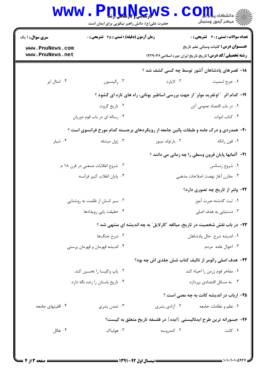| <b>زمان آزمون (دقیقه) : تستی : 45 قشریحی : 0</b><br>تعداد سوالات : تستى : 30 قشريحى : 0<br><b>عنـــوان درس:</b> کلیات ومبانی علم تاریخ<br><b>رشته تحصیلی/کد درس:</b> تاریخ،تاریخ ایران دوره اسلامی۱۲۲۹۰۳۶<br>۱۸− قصرهای پادشاهان آشور توسط چه کسی کشف شد ؟<br>۰۲ لايارد<br>٠١. جرج اسميت<br>۱۹- کدام اثر ″ اوتفرید مولر″ از جهت بررسی اساطیر یونانی، راه های تازه ای گشود ؟ |  |
|-----------------------------------------------------------------------------------------------------------------------------------------------------------------------------------------------------------------------------------------------------------------------------------------------------------------------------------------------------------------------------|--|
|                                                                                                                                                                                                                                                                                                                                                                             |  |
|                                                                                                                                                                                                                                                                                                                                                                             |  |
|                                                                                                                                                                                                                                                                                                                                                                             |  |
|                                                                                                                                                                                                                                                                                                                                                                             |  |
|                                                                                                                                                                                                                                                                                                                                                                             |  |
| ٠١. در باب اقتصاد عمومي آتن                                                                                                                                                                                                                                                                                                                                                 |  |
| ۰۳ کتاب اموات                                                                                                                                                                                                                                                                                                                                                               |  |
| <b>۲۰</b> - همدردی و درک عامه و طبقات پائین جامعه از رویکردهای برجسته کدام مورخ فرانسوی است ؟                                                                                                                                                                                                                                                                               |  |
| ۰۲ بارتولد نيبور<br>۰۱ فون رانکه                                                                                                                                                                                                                                                                                                                                            |  |
| <b>۲۱</b> - آلمانها پایان قرون وسطی را چه زمانی می دانند ؟                                                                                                                                                                                                                                                                                                                  |  |
| ٠١ شروع رنسانس                                                                                                                                                                                                                                                                                                                                                              |  |
| ٠٣ مقارن آغاز نهضت اصلاحات مذهبي                                                                                                                                                                                                                                                                                                                                            |  |
| <b>۲۲- ولتر از تاریخ چه تصوری دارد؟</b>                                                                                                                                                                                                                                                                                                                                     |  |
| ٠١. ثبت گذشته عبرت آموز                                                                                                                                                                                                                                                                                                                                                     |  |
| ۰۳ دستیابی به هدف اصلی                                                                                                                                                                                                                                                                                                                                                      |  |
| <b>۲۳</b> - در باب نقش شخصیت در تاریخ، مبالغه "کارلایل" به چه اندیشه ای منتهی شد ؟                                                                                                                                                                                                                                                                                          |  |
| ٠١ انديشه شرح حال پادشاهان                                                                                                                                                                                                                                                                                                                                                  |  |
| ۰۳ احوال عامه مردم                                                                                                                                                                                                                                                                                                                                                          |  |
| ۲۴- هدف اصلی رائومر از تالیف کتاب شش جلدی اش چه بود؟                                                                                                                                                                                                                                                                                                                        |  |
| ٠١. مفاخر قوم ژرمن را احياء كند.                                                                                                                                                                                                                                                                                                                                            |  |
| ۰۳ به مسائل اقتصادی بپردازد.                                                                                                                                                                                                                                                                                                                                                |  |
| ۲۵- ارباب در اندیشه کانت به چه معنی است ؟                                                                                                                                                                                                                                                                                                                                   |  |
| ۰۱ نظم و نظامات جامعه<br>۰۲ آزادی بشری                                                                                                                                                                                                                                                                                                                                      |  |
| ۲۶– جسورانه ترین طرح ایدئالیستی {ایده} در فلسفه تاریخ متعلق به کیست؟                                                                                                                                                                                                                                                                                                        |  |
| ۰۱ کانت<br>۰۲ کندروسه                                                                                                                                                                                                                                                                                                                                                       |  |
|                                                                                                                                                                                                                                                                                                                                                                             |  |